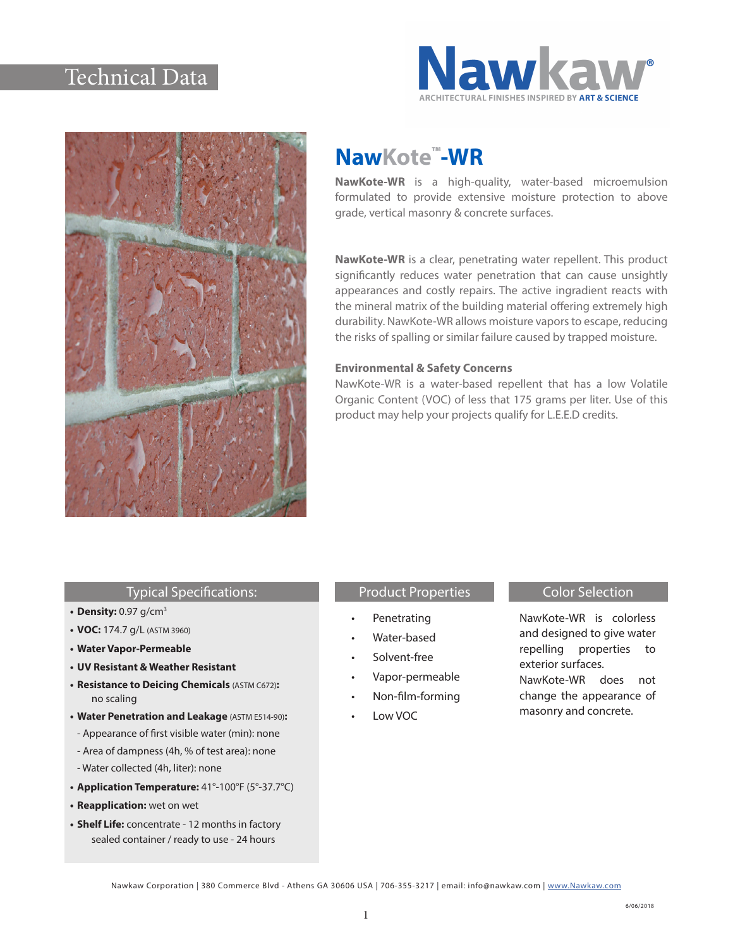## Technical Data





# **NawKote™-WR**

**NawKote-WR** is a high-quality, water-based microemulsion formulated to provide extensive moisture protection to above grade, vertical masonry & concrete surfaces.

**NawKote-WR** is a clear, penetrating water repellent. This product significantly reduces water penetration that can cause unsightly appearances and costly repairs. The active ingradient reacts with the mineral matrix of the building material offering extremely high durability. NawKote-WR allows moisture vapors to escape, reducing the risks of spalling or similar failure caused by trapped moisture.

#### **Environmental & Safety Concerns**

NawKote-WR is a water-based repellent that has a low Volatile Organic Content (VOC) of less that 175 grams per liter. Use of this product may help your projects qualify for L.E.E.D credits.

#### Typical Specifications:

- **• Density:** 0.97 g/cm3
- **• VOC:** 174.7 g/L (ASTM 3960)
- **• Water Vapor-Permeable**
- **• UV Resistant & Weather Resistant**
- **• Resistance to Deicing Chemicals** (ASTM C672)**:** no scaling
- **• Water Penetration and Leakage** (ASTM E514-90)**:**
- Appearance of first visible water (min): none
- Area of dampness (4h, % of test area): none
- Water collected (4h, liter): none
- **• Application Temperature:** 41°-100°F (5°-37.7°C)
- **• Reapplication:** wet on wet
- **• Shelf Life:** concentrate 12 months in factory sealed container / ready to use - 24 hours

### Product Properties **Color Selection**

- **Penetrating**
- Water-based
- Solvent-free
- Vapor-permeable
- Non-film-forming
- Low VOC

NawKote-WR is colorless and designed to give water repelling properties to exterior surfaces. NawKote-WR does not change the appearance of masonry and concrete.